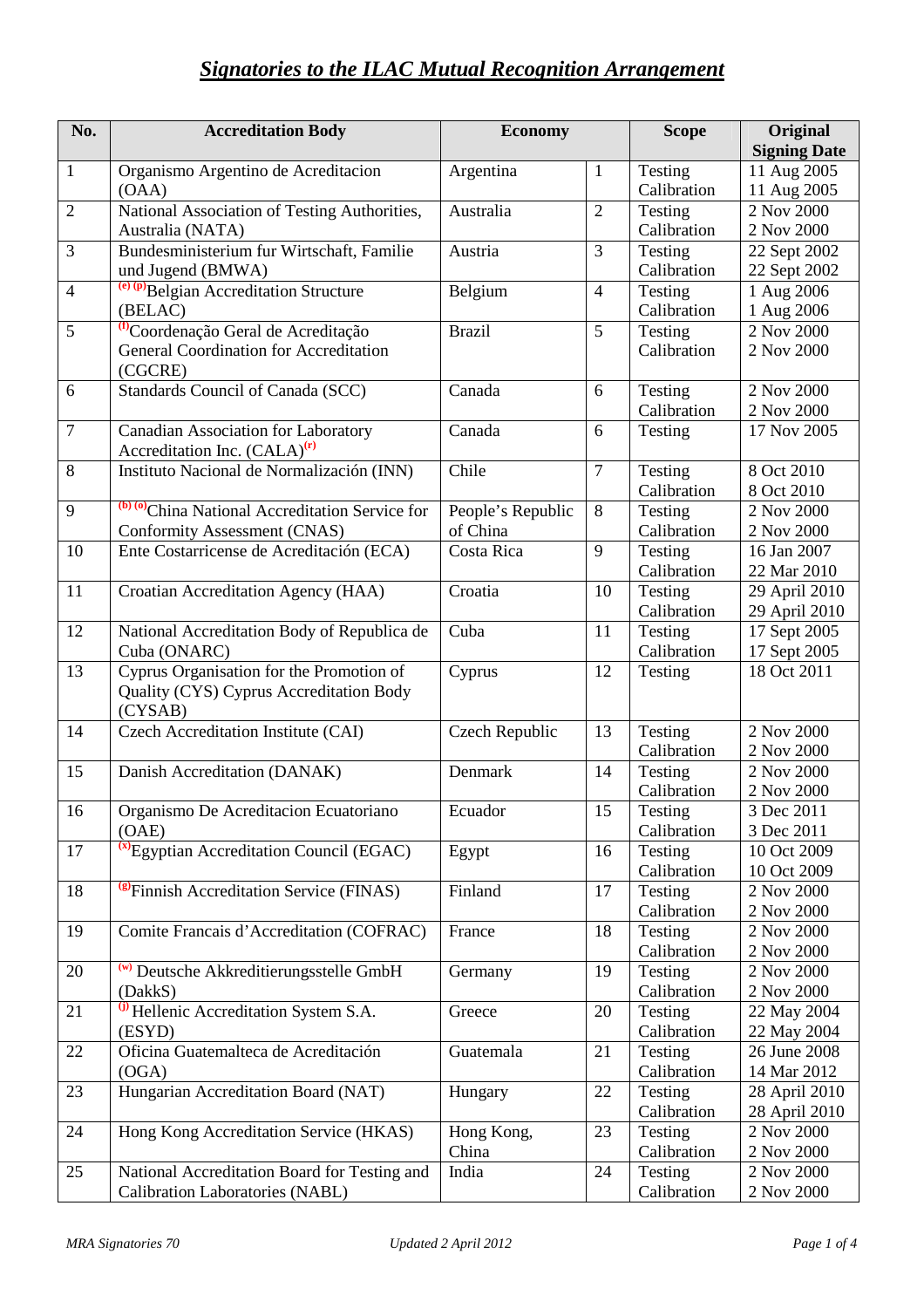| No.              | <b>Accreditation Body</b>                                                       | <b>Economy</b>    |                  | <b>Scope</b>           | Original                   |
|------------------|---------------------------------------------------------------------------------|-------------------|------------------|------------------------|----------------------------|
| $\mathbf{1}$     | Organismo Argentino de Acreditacion                                             | Argentina         |                  | Testing                | <b>Signing Date</b>        |
|                  | (OAA)                                                                           |                   | $\mathbf{1}$     | Calibration            | 11 Aug 2005<br>11 Aug 2005 |
|                  |                                                                                 |                   |                  |                        | 2 Nov 2000                 |
| $\overline{2}$   | National Association of Testing Authorities,                                    | Australia         | $\mathfrak{2}$   | Testing                |                            |
|                  | Australia (NATA)                                                                |                   |                  | Calibration            | 2 Nov 2000                 |
| $\overline{3}$   | Bundesministerium fur Wirtschaft, Familie                                       | Austria           | 3                | Testing                | 22 Sept 2002               |
|                  | und Jugend (BMWA)                                                               |                   |                  | Calibration            | 22 Sept 2002               |
| $\overline{4}$   | <sup>(e)</sup> (p) Belgian Accreditation Structure                              | Belgium           | $\overline{4}$   | Testing                | 1 Aug 2006                 |
| $\overline{5}$   | (BELAC)<br><sup>(f)</sup> Coordenação Geral de Acreditação                      |                   | $\overline{5}$   | Calibration            | 1 Aug 2006<br>2 Nov 2000   |
|                  | General Coordination for Accreditation                                          | <b>Brazil</b>     |                  | Testing<br>Calibration | 2 Nov 2000                 |
|                  | (CGCRE)                                                                         |                   |                  |                        |                            |
| 6                | Standards Council of Canada (SCC)                                               | Canada            | 6                | Testing                | 2 Nov 2000                 |
|                  |                                                                                 |                   |                  | Calibration            | 2 Nov 2000                 |
| $\boldsymbol{7}$ |                                                                                 | Canada            | 6                | Testing                | 17 Nov 2005                |
|                  | Canadian Association for Laboratory<br>Accreditation Inc. (CALA) <sup>(r)</sup> |                   |                  |                        |                            |
| 8                | Instituto Nacional de Normalización (INN)                                       | Chile             | $\boldsymbol{7}$ | Testing                | 8 Oct 2010                 |
|                  |                                                                                 |                   |                  | Calibration            | 8 Oct 2010                 |
| 9                | <sup>(b)</sup> ( <sup>o</sup> )China National Accreditation Service for         | People's Republic | 8                | Testing                | 2 Nov 2000                 |
|                  | <b>Conformity Assessment (CNAS)</b>                                             | of China          |                  | Calibration            | 2 Nov 2000                 |
| 10               | Ente Costarricense de Acreditación (ECA)                                        | Costa Rica        | 9                | Testing                | 16 Jan 2007                |
|                  |                                                                                 |                   |                  | Calibration            | 22 Mar 2010                |
| 11               | Croatian Accreditation Agency (HAA)                                             | Croatia           | 10               | Testing                | 29 April 2010              |
|                  |                                                                                 |                   |                  | Calibration            | 29 April 2010              |
| 12               | National Accreditation Body of Republica de                                     | Cuba              | 11               | Testing                | 17 Sept 2005               |
|                  | Cuba (ONARC)                                                                    |                   |                  | Calibration            | 17 Sept 2005               |
| 13               | Cyprus Organisation for the Promotion of                                        | Cyprus            | 12               | Testing                | 18 Oct 2011                |
|                  | Quality (CYS) Cyprus Accreditation Body                                         |                   |                  |                        |                            |
|                  | (CYSAB)                                                                         |                   |                  |                        |                            |
| 14               | Czech Accreditation Institute (CAI)                                             | Czech Republic    | 13               | $T$ esting             | 2 Nov 2000                 |
|                  |                                                                                 |                   |                  | Calibration            | 2 Nov 2000                 |
| 15               | Danish Accreditation (DANAK)                                                    | Denmark           | 14               | Testing                | 2 Nov 2000                 |
|                  |                                                                                 |                   |                  | Calibration            | 2 Nov 2000                 |
| 16               | Organismo De Acreditacion Ecuatoriano                                           | Ecuador           | 15               | Testing                | 3 Dec 2011                 |
|                  | (OAE)                                                                           |                   |                  | Calibration            | 3 Dec 2011                 |
| 17               | $(x)$ Egyptian Accreditation Council (EGAC)                                     | Egypt             | 16               | Testing                | $\overline{10}$ Oct 2009   |
|                  |                                                                                 |                   |                  | Calibration            | 10 Oct 2009                |
| 18               | <sup>(g)</sup> Finnish Accreditation Service (FINAS)                            | Finland           | 17               | Testing                | 2 Nov 2000                 |
|                  |                                                                                 |                   |                  | Calibration            | 2 Nov 2000                 |
| 19               | Comite Francais d'Accreditation (COFRAC)                                        | France            | 18               | Testing                | 2 Nov 2000                 |
|                  |                                                                                 |                   |                  | Calibration            | 2 Nov 2000                 |
| 20               | (w) Deutsche Akkreditierungsstelle GmbH                                         | Germany           | 19               | Testing                | 2 Nov 2000                 |
|                  | (DakkS)                                                                         |                   |                  | Calibration            | 2 Nov 2000                 |
| 21               | $\overline{9}$ Hellenic Accreditation System S.A.                               | Greece            | 20               | Testing                | 22 May 2004                |
|                  | (ESYD)                                                                          |                   |                  | Calibration            | 22 May 2004                |
| 22               | Oficina Guatemalteca de Acreditación                                            | Guatemala         | 21               | Testing                | 26 June 2008               |
|                  | (OGA)                                                                           |                   |                  | Calibration            | 14 Mar 2012                |
| 23               | Hungarian Accreditation Board (NAT)                                             | Hungary           | 22               | Testing                | 28 April 2010              |
|                  |                                                                                 |                   |                  | Calibration            | 28 April 2010              |
| 24               | Hong Kong Accreditation Service (HKAS)                                          | Hong Kong,        | 23               | Testing                | 2 Nov 2000                 |
|                  |                                                                                 | China             |                  | Calibration            | 2 Nov 2000                 |
| 25               | National Accreditation Board for Testing and                                    | India             | 24               | Testing                | 2 Nov 2000                 |
|                  | Calibration Laboratories (NABL)                                                 |                   |                  | Calibration            | 2 Nov 2000                 |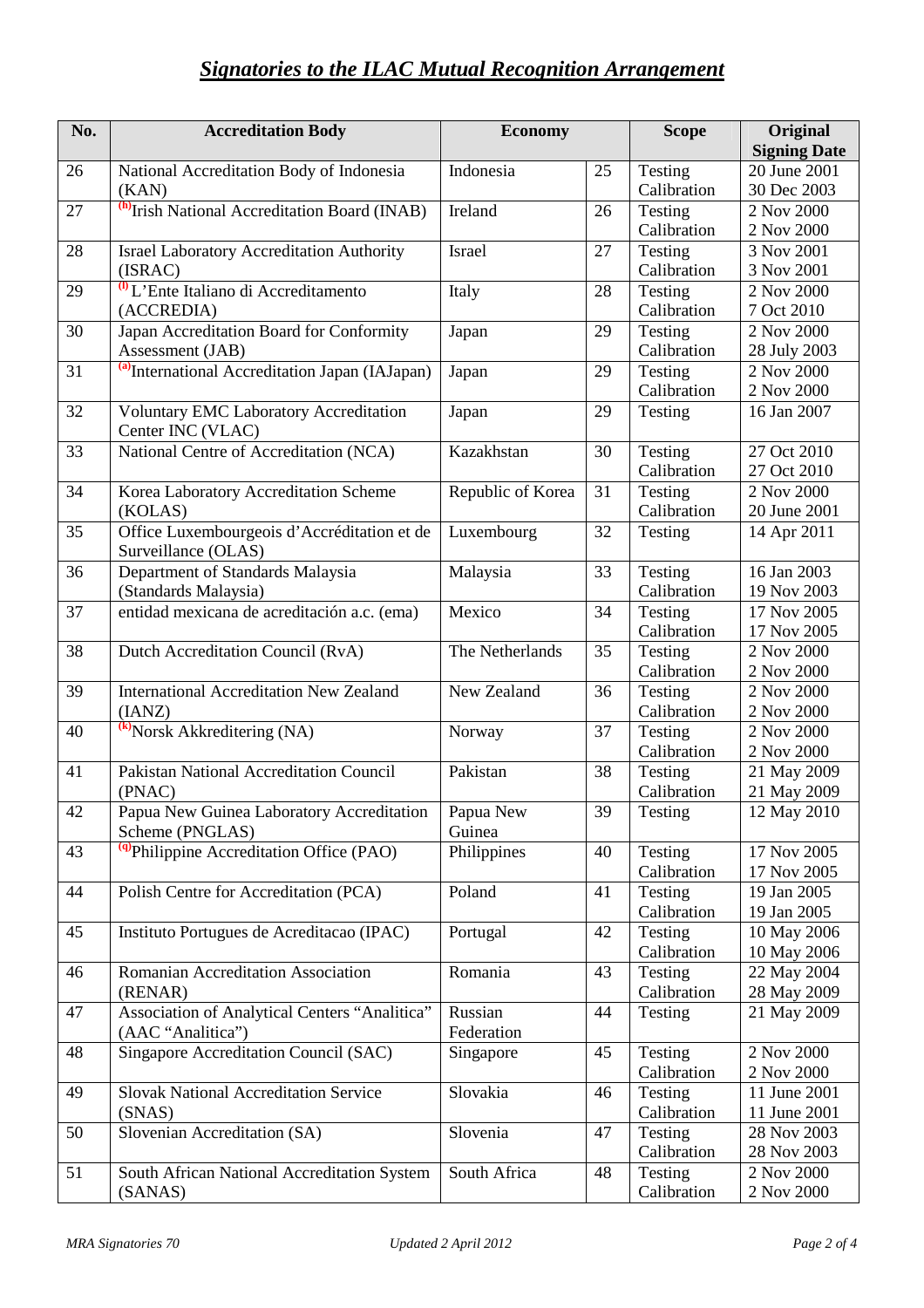| No. | <b>Accreditation Body</b>                                   | <b>Economy</b>    |    | <b>Scope</b>           | Original                   |
|-----|-------------------------------------------------------------|-------------------|----|------------------------|----------------------------|
|     |                                                             |                   |    |                        | <b>Signing Date</b>        |
| 26  | National Accreditation Body of Indonesia                    | Indonesia         | 25 | Testing<br>Calibration | 20 June 2001               |
|     | (KAN)<br>(h) Irish National Accreditation Board (INAB)      | Ireland           |    |                        | 30 Dec 2003                |
| 27  |                                                             |                   | 26 | Testing                | 2 Nov 2000                 |
|     |                                                             |                   |    | Calibration            | 2 Nov 2000                 |
| 28  | <b>Israel Laboratory Accreditation Authority</b>            | Israel            | 27 | Testing<br>Calibration | 3 Nov 2001                 |
|     | (ISRAC)<br><sup>(1)</sup> L'Ente Italiano di Accreditamento |                   | 28 |                        | 3 Nov 2001                 |
| 29  | (ACCREDIA)                                                  | Italy             |    | Testing<br>Calibration | 2 Nov 2000<br>7 Oct 2010   |
| 30  | Japan Accreditation Board for Conformity                    |                   | 29 | Testing                | 2 Nov 2000                 |
|     | Assessment (JAB)                                            | Japan             |    | Calibration            |                            |
| 31  | (a) International Accreditation Japan (IAJapan)             |                   | 29 | Testing                | 28 July 2003<br>2 Nov 2000 |
|     |                                                             | Japan             |    | Calibration            | 2 Nov 2000                 |
| 32  | <b>Voluntary EMC Laboratory Accreditation</b>               |                   | 29 | Testing                | 16 Jan 2007                |
|     | Center INC (VLAC)                                           | Japan             |    |                        |                            |
| 33  | National Centre of Accreditation (NCA)                      | Kazakhstan        | 30 | Testing                | 27 Oct 2010                |
|     |                                                             |                   |    | Calibration            | 27 Oct 2010                |
| 34  | Korea Laboratory Accreditation Scheme                       | Republic of Korea | 31 | Testing                | 2 Nov 2000                 |
|     | (KOLAS)                                                     |                   |    | Calibration            | 20 June 2001               |
| 35  | Office Luxembourgeois d'Accréditation et de                 | Luxembourg        | 32 | Testing                | 14 Apr 2011                |
|     | Surveillance (OLAS)                                         |                   |    |                        |                            |
| 36  | Department of Standards Malaysia                            | Malaysia          | 33 | Testing                | 16 Jan 2003                |
|     | (Standards Malaysia)                                        |                   |    | Calibration            | 19 Nov 2003                |
| 37  | entidad mexicana de acreditación a.c. (ema)                 | Mexico            | 34 | Testing                | 17 Nov 2005                |
|     |                                                             |                   |    | Calibration            | 17 Nov 2005                |
| 38  | Dutch Accreditation Council (RvA)                           | The Netherlands   | 35 | Testing                | 2 Nov 2000                 |
|     |                                                             |                   |    | Calibration            | 2 Nov 2000                 |
| 39  | <b>International Accreditation New Zealand</b>              | New Zealand       | 36 | Testing                | 2 Nov 2000                 |
|     | (IANZ)                                                      |                   |    | Calibration            | 2 Nov 2000                 |
| 40  | (k) Norsk Akkreditering (NA)                                | Norway            | 37 | Testing                | 2 Nov 2000                 |
|     |                                                             |                   |    | Calibration            | 2 Nov 2000                 |
| 41  | Pakistan National Accreditation Council                     | Pakistan          | 38 | Testing                | 21 May 2009                |
|     | (PNAC)                                                      |                   |    | Calibration            | 21 May 2009                |
| 42  | Papua New Guinea Laboratory Accreditation   Papua New       |                   | 39 | Testing                | 12 May 2010                |
|     | Scheme (PNGLAS)                                             | Guinea            |    |                        |                            |
| 43  | <sup>(q)</sup> Philippine Accreditation Office (PAO)        | Philippines       | 40 | Testing                | 17 Nov 2005                |
|     |                                                             |                   |    | Calibration            | 17 Nov 2005                |
| 44  | Polish Centre for Accreditation (PCA)                       | Poland            | 41 | Testing                | 19 Jan 2005                |
|     |                                                             |                   |    | Calibration            | 19 Jan 2005                |
| 45  | Instituto Portugues de Acreditacao (IPAC)                   | Portugal          | 42 | Testing                | 10 May 2006                |
|     |                                                             |                   |    | Calibration            | 10 May 2006                |
| 46  | Romanian Accreditation Association                          | Romania           | 43 | Testing                | 22 May 2004                |
|     | (RENAR)                                                     |                   |    | Calibration            | 28 May 2009                |
| 47  | Association of Analytical Centers "Analitica"               | Russian           | 44 | Testing                | 21 May 2009                |
|     | (AAC "Analitica")                                           | Federation        |    |                        |                            |
| 48  | Singapore Accreditation Council (SAC)                       | Singapore         | 45 | Testing                | 2 Nov 2000                 |
|     |                                                             |                   |    | Calibration            | 2 Nov 2000                 |
| 49  | <b>Slovak National Accreditation Service</b>                | Slovakia          | 46 | Testing                | 11 June 2001               |
|     | (SNAS)                                                      |                   |    | Calibration            | 11 June 2001               |
| 50  | Slovenian Accreditation (SA)                                | Slovenia          | 47 | Testing                | 28 Nov 2003                |
|     |                                                             |                   |    | Calibration            | 28 Nov 2003                |
| 51  | South African National Accreditation System                 | South Africa      | 48 | Testing                | 2 Nov 2000                 |
|     | (SANAS)                                                     |                   |    | Calibration            | 2 Nov 2000                 |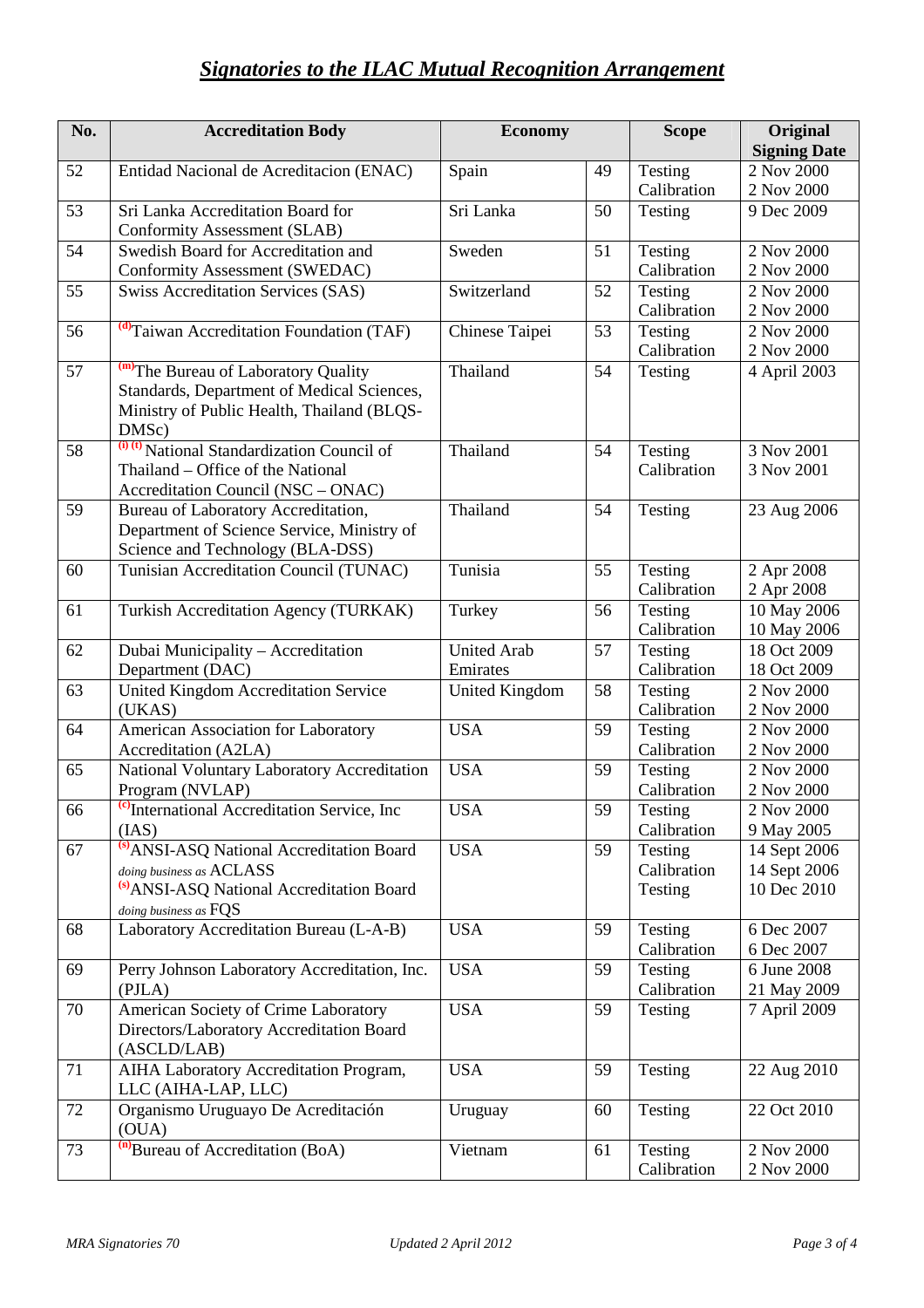| No. | <b>Accreditation Body</b>                                  | <b>Economy</b>        |    | <b>Scope</b> | Original            |
|-----|------------------------------------------------------------|-----------------------|----|--------------|---------------------|
|     |                                                            |                       |    |              | <b>Signing Date</b> |
| 52  | Entidad Nacional de Acreditacion (ENAC)                    | Spain                 | 49 | Testing      | 2 Nov 2000          |
|     |                                                            |                       |    | Calibration  | 2 Nov 2000          |
| 53  | Sri Lanka Accreditation Board for                          | Sri Lanka             | 50 | Testing      | 9 Dec 2009          |
|     | <b>Conformity Assessment (SLAB)</b>                        |                       |    |              |                     |
| 54  | Swedish Board for Accreditation and                        | Sweden                | 51 | Testing      | 2 Nov 2000          |
|     | Conformity Assessment (SWEDAC)                             |                       |    | Calibration  | 2 Nov 2000          |
| 55  | Swiss Accreditation Services (SAS)                         | Switzerland           | 52 | Testing      | 2 Nov 2000          |
|     |                                                            |                       |    | Calibration  | 2 Nov 2000          |
| 56  | (d)Taiwan Accreditation Foundation (TAF)                   | Chinese Taipei        | 53 | Testing      | 2 Nov 2000          |
|     |                                                            |                       |    | Calibration  | 2 Nov 2000          |
| 57  | (m) The Bureau of Laboratory Quality                       | Thailand              | 54 | Testing      | 4 April 2003        |
|     | Standards, Department of Medical Sciences,                 |                       |    |              |                     |
|     | Ministry of Public Health, Thailand (BLQS-                 |                       |    |              |                     |
|     | DMSc)                                                      |                       |    |              |                     |
| 58  | $\overline{^{(i)(t)}}$ National Standardization Council of | Thailand              | 54 | Testing      | 3 Nov 2001          |
|     | Thailand – Office of the National                          |                       |    | Calibration  | 3 Nov 2001          |
|     | Accreditation Council (NSC – ONAC)                         |                       |    |              |                     |
| 59  | Bureau of Laboratory Accreditation,                        | Thailand              | 54 | Testing      | 23 Aug 2006         |
|     | Department of Science Service, Ministry of                 |                       |    |              |                     |
|     | Science and Technology (BLA-DSS)                           |                       |    |              |                     |
| 60  | Tunisian Accreditation Council (TUNAC)                     | Tunisia               | 55 | Testing      | 2 Apr 2008          |
|     |                                                            |                       |    | Calibration  | 2 Apr 2008          |
| 61  | Turkish Accreditation Agency (TURKAK)                      | Turkey                | 56 | Testing      | 10 May 2006         |
|     |                                                            |                       |    | Calibration  | 10 May 2006         |
| 62  | Dubai Municipality - Accreditation                         | <b>United Arab</b>    | 57 | Testing      | 18 Oct 2009         |
|     | Department (DAC)                                           | Emirates              |    | Calibration  | 18 Oct 2009         |
| 63  | United Kingdom Accreditation Service                       | <b>United Kingdom</b> | 58 | Testing      | 2 Nov 2000          |
|     | (UKAS)                                                     |                       |    | Calibration  | 2 Nov 2000          |
| 64  | American Association for Laboratory                        | <b>USA</b>            | 59 | Testing      | 2 Nov 2000          |
|     | Accreditation (A2LA)                                       |                       |    | Calibration  | 2 Nov 2000          |
| 65  | National Voluntary Laboratory Accreditation                | <b>USA</b>            | 59 | Testing      | 2 Nov 2000          |
|     | Program (NVLAP)                                            |                       |    | Calibration  | 2 Nov 2000          |
| 66  | <sup>(e)</sup> International Accreditation Service, Inc    | <b>USA</b>            | 59 | Testing      | 2 Nov 2000          |
|     | (IAS)                                                      |                       |    | Calibration  | 9 May 2005          |
| 67  | (s) ANSI-ASQ National Accreditation Board                  | <b>USA</b>            | 59 | Testing      | 14 Sept 2006        |
|     | doing business as ACLASS                                   |                       |    | Calibration  | 14 Sept 2006        |
|     | <sup>(s)</sup> ANSI-ASQ National Accreditation Board       |                       |    | Testing      | 10 Dec 2010         |
|     | doing business as FQS                                      |                       |    |              |                     |
| 68  | Laboratory Accreditation Bureau (L-A-B)                    | <b>USA</b>            | 59 | Testing      | 6 Dec 2007          |
|     |                                                            |                       |    | Calibration  | 6 Dec 2007          |
| 69  | Perry Johnson Laboratory Accreditation, Inc.               | <b>USA</b>            | 59 | Testing      | 6 June 2008         |
|     | (PILA)                                                     |                       |    | Calibration  | 21 May 2009         |
| 70  | American Society of Crime Laboratory                       | <b>USA</b>            | 59 | Testing      | 7 April 2009        |
|     | Directors/Laboratory Accreditation Board                   |                       |    |              |                     |
|     | (ASCLD/LAB)                                                |                       |    |              |                     |
| 71  | AIHA Laboratory Accreditation Program,                     | <b>USA</b>            | 59 | Testing      | 22 Aug 2010         |
|     | LLC (AIHA-LAP, LLC)                                        |                       |    |              |                     |
| 72  | Organismo Uruguayo De Acreditación                         | Uruguay               | 60 | Testing      | 22 Oct 2010         |
|     | (OUA)                                                      |                       |    |              |                     |
| 73  | (n) Bureau of Accreditation (BoA)                          | Vietnam               | 61 | Testing      | 2 Nov 2000          |
|     |                                                            |                       |    | Calibration  | 2 Nov 2000          |